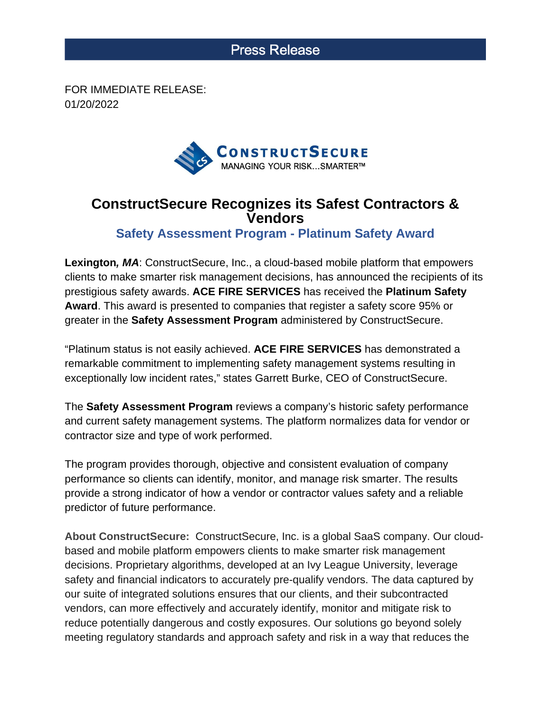## **Press Release**

FOR IMMEDIATE RELEASE: 01/20/2022



## **ConstructSecure Recognizes its Safest Contractors & Vendors**

**Safety Assessment Program - Platinum Safety Award**

**Lexington, MA**: ConstructSecure, Inc., a cloud-based mobile platform that empowers clients to make smarter risk management decisions, has announced the recipients of its prestigious safety awards. **ACE FIRE SERVICES** has received the **Platinum Safety Award**. This award is presented to companies that register a safety score 95% or greater in the **Safety Assessment Program** administered by ConstructSecure.

"Platinum status is not easily achieved. **ACE FIRE SERVICES** has demonstrated a remarkable commitment to implementing safety management systems resulting in exceptionally low incident rates," states Garrett Burke, CEO of ConstructSecure.

The **Safety Assessment Program** reviews a company's historic safety performance and current safety management systems. The platform normalizes data for vendor or contractor size and type of work performed.

The program provides thorough, objective and consistent evaluation of company performance so clients can identify, monitor, and manage risk smarter. The results provide a strong indicator of how a vendor or contractor values safety and a reliable predictor of future performance.

**About ConstructSecure:** ConstructSecure, Inc. is a global SaaS company. Our cloudbased and mobile platform empowers clients to make smarter risk management decisions. Proprietary algorithms, developed at an Ivy League University, leverage safety and financial indicators to accurately pre-qualify vendors. The data captured by our suite of integrated solutions ensures that our clients, and their subcontracted vendors, can more effectively and accurately identify, monitor and mitigate risk to reduce potentially dangerous and costly exposures. Our solutions go beyond solely meeting regulatory standards and approach safety and risk in a way that reduces the